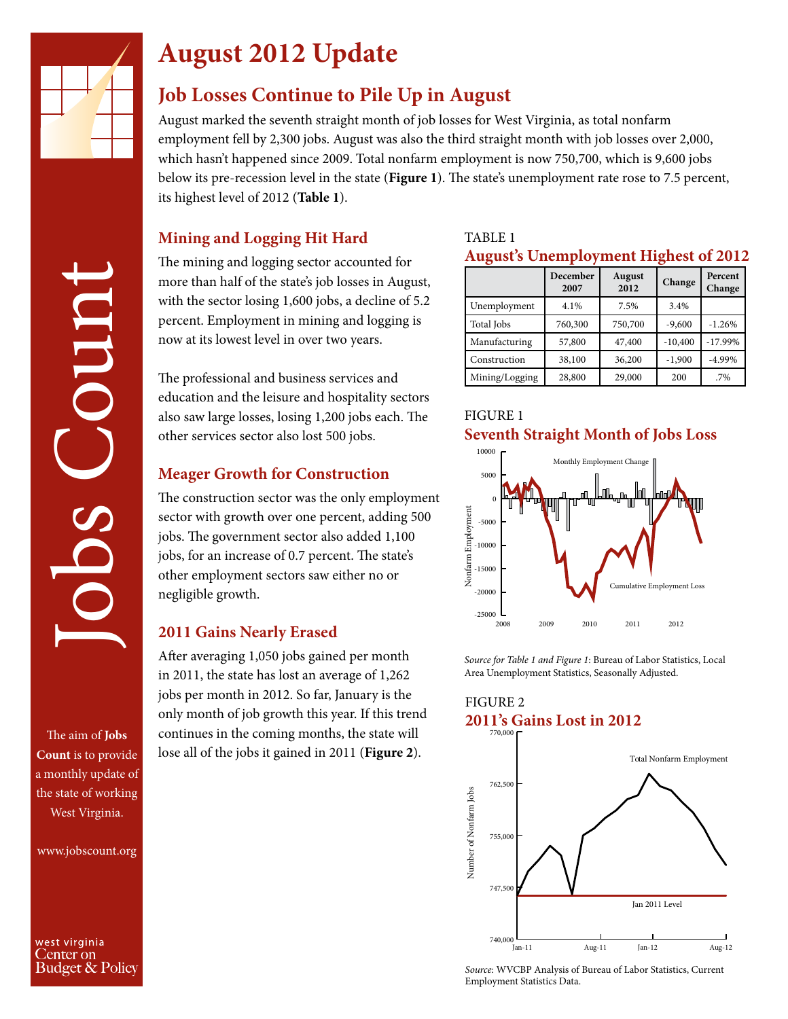

Coun

# **August 2012 Update**

## **Job Losses Continue to Pile Up in August**

August marked the seventh straight month of job losses for West Virginia, as total nonfarm employment fell by 2,300 jobs. August was also the third straight month with job losses over 2,000, which hasn't happened since 2009. Total nonfarm employment is now 750,700, which is 9,600 jobs below its pre-recession level in the state (**Figure 1**). The state's unemployment rate rose to 7.5 percent, its highest level of 2012 (**Table 1**).

#### **Mining and Logging Hit Hard**

The mining and logging sector accounted for more than half of the state's job losses in August, with the sector losing 1,600 jobs, a decline of 5.2 percent. Employment in mining and logging is now at its lowest level in over two years.

The professional and business services and education and the leisure and hospitality sectors also saw large losses, losing 1,200 jobs each. The other services sector also lost 500 jobs.

#### **Meager Growth for Construction**

The construction sector was the only employment sector with growth over one percent, adding 500 jobs. The government sector also added 1,100 jobs, for an increase of 0.7 percent. The state's other employment sectors saw either no or negligible growth.

#### **2011 Gains Nearly Erased**

After averaging 1,050 jobs gained per month in 2011, the state has lost an average of 1,262 jobs per month in 2012. So far, January is the only month of job growth this year. If this trend continues in the coming months, the state will lose all of the jobs it gained in 2011 (**Figure 2**).

#### TABLE 1

#### **August's Unemployment Highest of 2012**

|                | December<br>2007 | <b>August</b><br>2012 | Change    | Percent<br>Change |
|----------------|------------------|-----------------------|-----------|-------------------|
| Unemployment   | 4.1%             | 7.5%                  | 3.4%      |                   |
| Total Jobs     | 760,300          | 750,700               | $-9,600$  | $-1.26%$          |
| Manufacturing  | 57,800           | 47,400                | $-10,400$ | $-17.99%$         |
| Construction   | 38,100           | 36,200                | $-1,900$  | $-4.99%$          |
| Mining/Logging | 28,800           | 29,000                | 200       | .7%               |

#### FIGURE 1 **Seventh Straight Month of Jobs Loss**



*Source for Table 1 and Figure 1*: Bureau of Labor Statistics, Local

#### FIGURE 2 **2011's Gains Lost in 2012**



*Source*: WVCBP Analysis of Bureau of Labor Statistics, Current Employment Statistics Data.

Jobs Count The aim of **Jobs Count** is to provide a monthly update of the state of working

www.jobscount.org

West Virginia.

west virginia Center on Budget & Policy